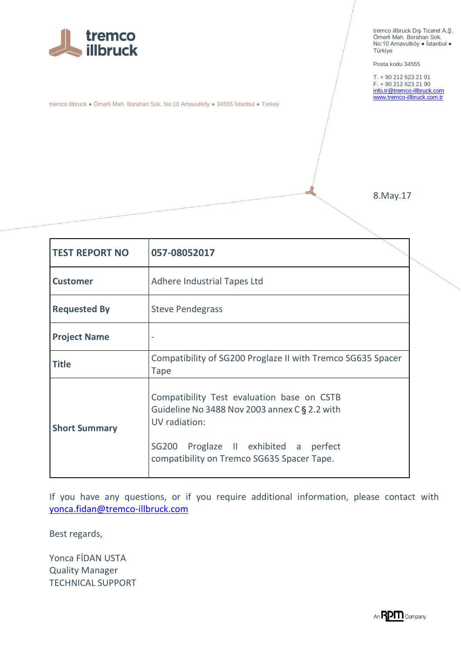

tremco illbruck ● Ömerli Mah. Borahan Sok. No:10 Arnavutköy ● 34555 İstanbul ● Turkey

tremco illbruck Dış Ticaret A.Ş. Ömerli Mah. Borahan Sok. No:10 Arnavutköy ● İstanbul ● Türkiye

Posta kodu 34555

T. + 90 212 623 21 91 F. + 90 212 623 21 90 [info.tr@tremco-illbruck.com](mailto:info.tr@tremco-illbruck.com) [www.tremco-illbruck.com.tr](http://www.tremco-illbruck.com.tr/)

8.May.17

| <b>TEST REPORT NO</b> | 057-08052017                                                                                                                                                                                        |  |
|-----------------------|-----------------------------------------------------------------------------------------------------------------------------------------------------------------------------------------------------|--|
| <b>Customer</b>       | Adhere Industrial Tapes Ltd                                                                                                                                                                         |  |
| <b>Requested By</b>   | <b>Steve Pendegrass</b>                                                                                                                                                                             |  |
| <b>Project Name</b>   |                                                                                                                                                                                                     |  |
| <b>Title</b>          | Compatibility of SG200 Proglaze II with Tremco SG635 Spacer<br><b>Tape</b>                                                                                                                          |  |
| <b>Short Summary</b>  | Compatibility Test evaluation base on CSTB<br>Guideline No 3488 Nov 2003 annex C § 2.2 with<br>UV radiation:<br>SG200 Proglaze II exhibited a perfect<br>compatibility on Tremco SG635 Spacer Tape. |  |

If you have any questions, or if you require additional information, please contact with [yonca.fidan@tremco-illbruck.com](mailto:yonca.fidan@tremco-illbruck.com)

Best regards,

Yonca FİDAN USTA Quality Manager TECHNICAL SUPPORT

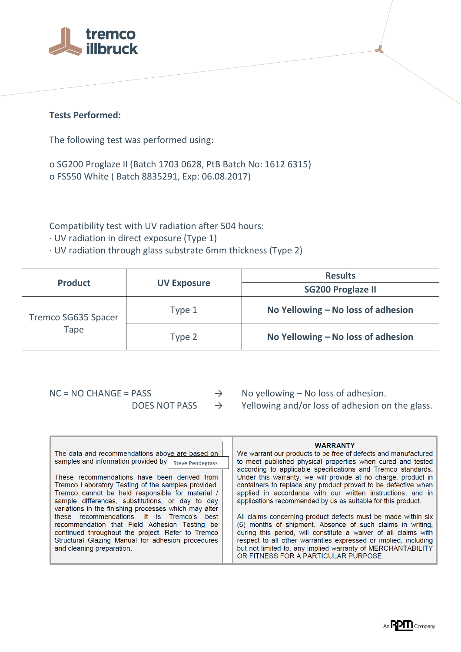

## **Tests Performed:**

The following test was performed using:

o SG200 Proglaze II (Batch 1703 0628, PtB Batch No: 1612 6315) o FS550 White ( Batch 8835291, Exp: 06.08.2017)

Compatibility test with UV radiation after 504 hours:

· UV radiation in direct exposure (Type 1)

· UV radiation through glass substrate 6mm thickness (Type 2)

| <b>Product</b>              | <b>UV Exposure</b> | <b>Results</b>                     |
|-----------------------------|--------------------|------------------------------------|
|                             |                    | <b>SG200 Proglaze II</b>           |
| Tremco SG635 Spacer<br>Tape | Type 1             | No Yellowing - No loss of adhesion |
|                             | Type 2             | No Yellowing - No loss of adhesion |

 $NC = NO CHANGE = PASS$   $\rightarrow$  No yellowing – No loss of adhesion. DOES NOT PASS  $\rightarrow$  Yellowing and/or loss of adhesion on the glass.